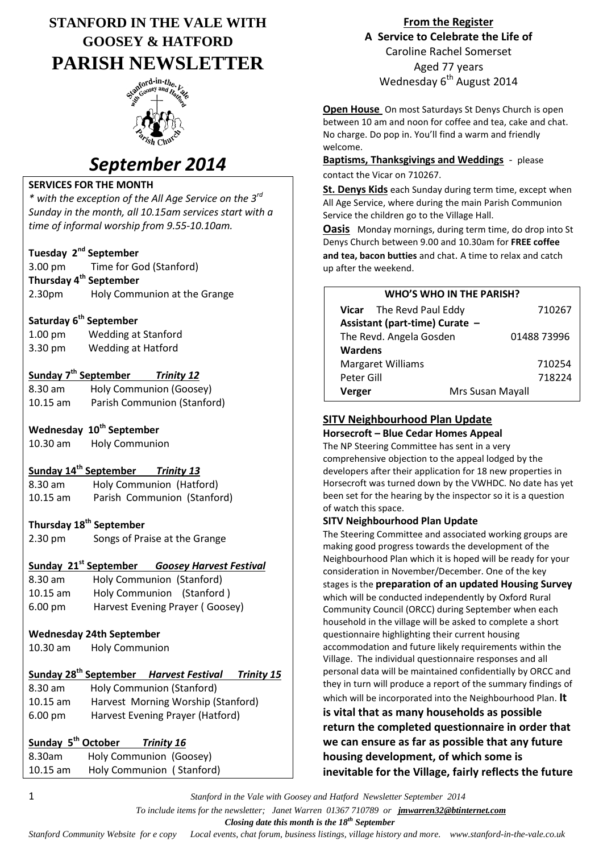# **STANFORD IN THE VALE WITH GOOSEY & HATFORD PARISH NEWSLETTER**



# *September 2014*

#### **SERVICES FOR THE MONTH**

*\* with the exception of the All Age Service on the 3rd Sunday in the month, all 10.15am services start with a time of informal worship from 9.55-10.10am.*

#### **Tuesday 2nd September**

3.00 pm Time for God (Stanford) **Thursday 4th September** 2.30pm Holy Communion at the Grange

#### **Saturday 6th September**

1.00 pm Wedding at Stanford 3.30 pm Wedding at Hatford

#### **Sunday 7th September** *Trinity 12*

| 8.30 am            | Holy Communion (Goosey)     |
|--------------------|-----------------------------|
| $10.15 \text{ am}$ | Parish Communion (Stanford) |

#### **Wednesday 10th September**

| $10.30$ am | <b>Holy Communion</b> |
|------------|-----------------------|
|------------|-----------------------|

#### **Sunday 14th September** *Trinity 13*

8.30 am Holy Communion (Hatford) 10.15 am Parish Communion (Stanford)

#### **Thursday 18th September**

2.30 pm Songs of Praise at the Grange

#### **Sunday 21st September** *Goosey Harvest Festival*

8.30 am Holy Communion (Stanford) 10.15 am Holy Communion (Stanford ) 6.00 pm Harvest Evening Prayer ( Goosey)

#### **Wednesday 24th September**

10.30 am Holy Communion

## **Sunday 28th September** *Harvest Festival**Trinity 15*

8.30 am Holy Communion (Stanford) 10.15 am Harvest Morning Worship (Stanford) 6.00 pm Harvest Evening Prayer (Hatford)

| Sunday 5 <sup>th</sup> October | <b>Trinity 16</b>         |
|--------------------------------|---------------------------|
| 8.30am                         | Holy Communion (Goosey)   |
| $10.15$ am                     | Holy Communion (Stanford) |

**From the Register A Service to Celebrate the Life of** Caroline Rachel Somerset Aged 77 years Wednesday 6<sup>th</sup> August 2014

**Open House** On most Saturdays St Denys Church is open between 10 am and noon for coffee and tea, cake and chat. No charge. Do pop in. You'll find a warm and friendly welcome.

## **Baptisms, Thanksgivings and Weddings** - please

contact the Vicar on 710267.

**St. Denys Kids** each Sunday during term time, except when All Age Service, where during the main Parish Communion Service the children go to the Village Hall.

**Oasis** Monday mornings, during term time, do drop into St Denys Church between 9.00 and 10.30am for **FREE coffee and tea, bacon butties** and chat. A time to relax and catch up after the weekend.

| <b>WHO'S WHO IN THE PARISH?</b> |                                |                  |  |  |
|---------------------------------|--------------------------------|------------------|--|--|
|                                 | Vicar The Revd Paul Eddy       |                  |  |  |
|                                 | Assistant (part-time) Curate - |                  |  |  |
| The Revd. Angela Gosden         |                                | 01488 73996      |  |  |
| <b>Wardens</b>                  |                                |                  |  |  |
| <b>Margaret Williams</b>        |                                | 710254           |  |  |
| Peter Gill                      |                                | 718224           |  |  |
| Verger                          |                                | Mrs Susan Mayall |  |  |

#### **SITV Neighbourhood Plan Update**

#### **Horsecroft – Blue Cedar Homes Appeal**

The NP Steering Committee has sent in a very comprehensive objection to the appeal lodged by the developers after their application for 18 new properties in Horsecroft was turned down by the VWHDC. No date has yet been set for the hearing by the inspector so it is a question of watch this space.

#### **SITV Neighbourhood Plan Update**

The Steering Committee and associated working groups are making good progress towards the development of the Neighbourhood Plan which it is hoped will be ready for your consideration in November/December. One of the key stages is the **preparation of an updated Housing Survey** which will be conducted independently by Oxford Rural Community Council (ORCC) during September when each household in the village will be asked to complete a short questionnaire highlighting their current housing accommodation and future likely requirements within the Village. The individual questionnaire responses and all personal data will be maintained confidentially by ORCC and they in turn will produce a report of the summary findings of which will be incorporated into the Neighbourhood Plan. **It** 

#### **is vital that as many households as possible return the completed questionnaire in order that we can ensure as far as possible that any future housing development, of which some is inevitable for the Village, fairly reflects the future**

1 *Stanford in the Vale with Goosey and Hatford Newsletter September 2014*

 *To include items for the newsletter; Janet Warren 01367 710789 or jmwarren32@btinternet.com*

 *Closing date this month is the 18th September*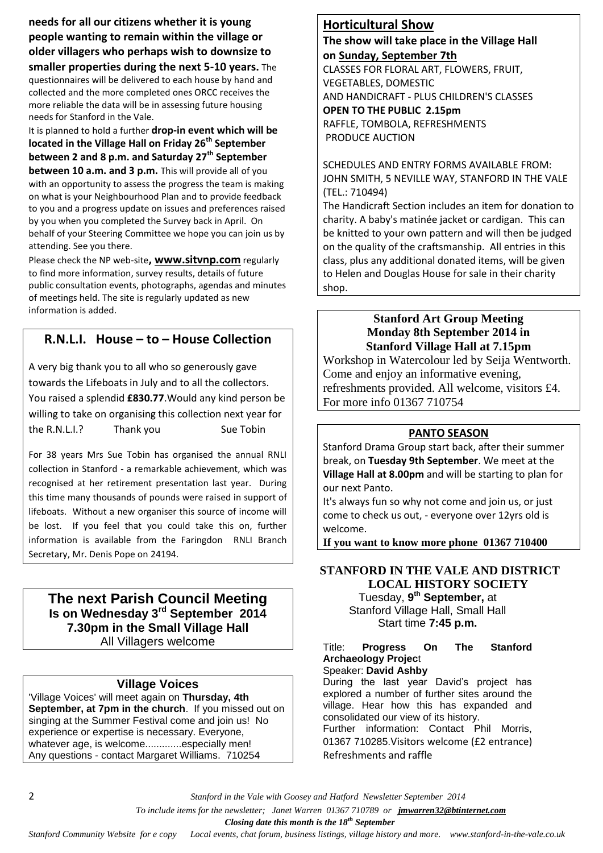**needs for all our citizens whether it is young people wanting to remain within the village or older villagers who perhaps wish to downsize to** 

**smaller properties during the next 5-10 years.** The questionnaires will be delivered to each house by hand and collected and the more completed ones ORCC receives the more reliable the data will be in assessing future housing needs for Stanford in the Vale.

It is planned to hold a further **drop-in event which will be located in the Village Hall on Friday 26th September between 2 and 8 p.m. and Saturday 27th September between 10 a.m. and 3 p.m.** This will provide all of you with an opportunity to assess the progress the team is making on what is your Neighbourhood Plan and to provide feedback to you and a progress update on issues and preferences raised by you when you completed the Survey back in April. On behalf of your Steering Committee we hope you can join us by attending. See you there.

Please check the NP web-site**, [www.sitvnp.com](http://www.sitvnp.com/)** regularly to find more information, survey results, details of future public consultation events, photographs, agendas and minutes of meetings held. The site is regularly updated as new information is added.

## **R.N.L.I. House – to – House Collection**

A very big thank you to all who so generously gave towards the Lifeboats in July and to all the collectors. You raised a splendid **£830.77**.Would any kind person be willing to take on organising this collection next year for the R.N.L.I.? Thank you Sue Tobin

For 38 years Mrs Sue Tobin has organised the annual RNLI collection in Stanford - a remarkable achievement, which was recognised at her retirement presentation last year. During this time many thousands of pounds were raised in support of lifeboats. Without a new organiser this source of income will be lost. If you feel that you could take this on, further information is available from the Faringdon RNLI Branch Secretary, Mr. Denis Pope on 24194.

#### **The next Parish Council Meeting Is on Wednesday 3rd September 2014 7.30pm in the Small Village Hall** All Villagers welcome

#### **Village Voices**

'Village Voices' will meet again on **Thursday, 4th September, at 7pm in the church**. If you missed out on singing at the Summer Festival come and join us! No experience or expertise is necessary. Everyone, whatever age, is welcome.............especially men! Any questions - contact Margaret Williams. 710254

### **Horticultural Show**

#### **The show will take place in the Village Hall on Sunday, September 7th**

CLASSES FOR FLORAL ART, FLOWERS, FRUIT, VEGETABLES, DOMESTIC AND HANDICRAFT - PLUS CHILDREN'S CLASSES **OPEN TO THE PUBLIC 2.15pm** RAFFLE, TOMBOLA, REFRESHMENTS PRODUCE AUCTION

SCHEDULES AND ENTRY FORMS AVAILABLE FROM: JOHN SMITH, 5 NEVILLE WAY, STANFORD IN THE VALE (TEL.: 710494)

The Handicraft Section includes an item for donation to charity. A baby's matinée jacket or cardigan. This can be knitted to your own pattern and will then be judged on the quality of the craftsmanship. All entries in this class, plus any additional donated items, will be given to Helen and Douglas House for sale in their charity shop.

#### **Stanford Art Group Meeting Monday 8th September 2014 in Stanford Village Hall at 7.15pm**

Workshop in Watercolour led by Seija Wentworth. Come and enjoy an informative evening, refreshments provided. All welcome, visitors £4. For more info 01367 710754

#### **PANTO SEASON**

Stanford Drama Group start back, after their summer break, on **Tuesday 9th September**. We meet at the **Village Hall at 8.00pm** and will be starting to plan for our next Panto.

It's always fun so why not come and join us, or just come to check us out, - everyone over 12yrs old is welcome.

**If you want to know more phone 01367 710400** 

## **STANFORD IN THE VALE AND DISTRICT LOCAL HISTORY SOCIETY**

Tuesday, **9 th September,** at Stanford Village Hall, Small Hall Start time **7:45 p.m.**

Title: **Progress On The Stanford Archaeology Projec**t Speaker: **David Ashby**

During the last year David's project has explored a number of further sites around the village. Hear how this has expanded and consolidated our view of its history.

Further information: Contact Phil Morris, 01367 710285.Visitors welcome (£2 entrance) Refreshments and raffle

2 *Stanford in the Vale with Goosey and Hatford Newsletter September 2014*

 *To include items for the newsletter; Janet Warren 01367 710789 or jmwarren32@btinternet.com*

 *Closing date this month is the 18th September*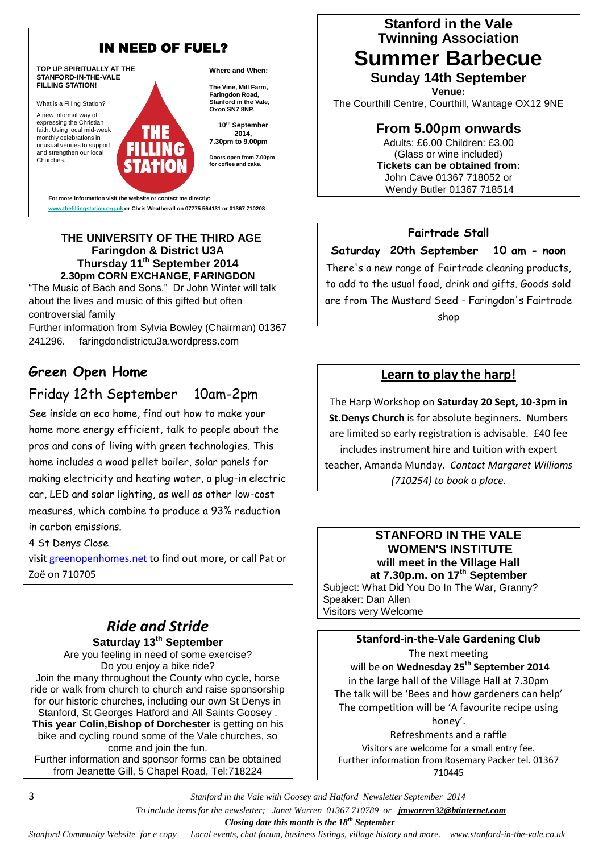

**www.thefillingstation.org.uk or Chris Weatherall on 07775 564131 or 01367 710208** 

#### **THE UNIVERSITY OF THE THIRD AGE Faringdon & District U3A Thursday 11th September 2014 2.30pm CORN EXCHANGE, FARINGDON**

"The Music of Bach and Sons." Dr John Winter will talk about the lives and music of this gifted but often controversial family

Further information from Sylvia Bowley (Chairman) 01367 241296. faringdondistrictu3a.wordpress.com

## **Green Open Home**

## Friday 12th September 10am-2pm

See inside an eco home, find out how to make your home more energy efficient, talk to people about the pros and cons of living with green technologies. This home includes a wood pellet boiler, solar panels for making electricity and heating water, a plug-in electric car, LED and solar lighting, as well as other low-cost measures, which combine to produce a 93% reduction in carbon emissions.

4 St Denys Close

visit [greenopenhomes.net](wlmailhtml:%7b4E8B8696-DB3C-4A9C-A2B4-0CC5B75E89C6%7dmid:/00000039/greenopenhomes.net/) to find out more, or call Pat or Zoë on 710705

## *Ride and Stride* **Saturday 13th September**

Are you feeling in need of some exercise? Do you enjoy a bike ride? Join the many throughout the County who cycle, horse ride or walk from church to church and raise sponsorship for our historic churches, including our own St Denys in Stanford, St Georges Hatford and All Saints Goosey . **This year Colin,Bishop of Dorchester** is getting on his bike and cycling round some of the Vale churches, so come and join the fun. Further information and sponsor forms can be obtained from Jeanette Gill, 5 Chapel Road, Tel:718224

**Stanford in the Vale Twinning Association**

# **Summer Barbecue Sunday 14th September**

**Venue:** The Courthill Centre, Courthill, Wantage OX12 9NE

**From 5.00pm onwards**

Adults: £6.00 Children: £3.00 (Glass or wine included) **Tickets can be obtained from:** John Cave 01367 718052 or Wendy Butler 01367 718514

### **Fairtrade Stall**

**Saturday 20th September 10 am - noon** There's a new range of Fairtrade cleaning products, to add to the usual food, drink and gifts. Goods sold are from The Mustard Seed - Faringdon's Fairtrade shop

## **Learn to play the harp!**

The Harp Workshop on **Saturday 20 Sept, 10-3pm in St.Denys Church** is for absolute beginners. Numbers are limited so early registration is advisable. £40 fee includes instrument hire and tuition with expert teacher, Amanda Munday. *Contact Margaret Williams (710254) to book a place.*

#### **STANFORD IN THE VALE WOMEN'S INSTITUTE will meet in the Village Hall at 7.30p.m. on 17th September**

Subject: What Did You Do In The War, Granny? Speaker: Dan Allen Visitors very Welcome

**Stanford-in-the-Vale Gardening Club** The next meeting will be on **Wednesday 25th September 2014** in the large hall of the Village Hall at 7.30pm The talk will be 'Bees and how gardeners can help' The competition will be 'A favourite recipe using honey'.

Refreshments and a raffle Visitors are welcome for a small entry fee. Further information from Rosemary Packer tel. 01367 710445

3 *Stanford in the Vale with Goosey and Hatford Newsletter September 2014*

 *To include items for the newsletter; Janet Warren 01367 710789 or jmwarren32@btinternet.com*

 *Closing date this month is the 18th September*